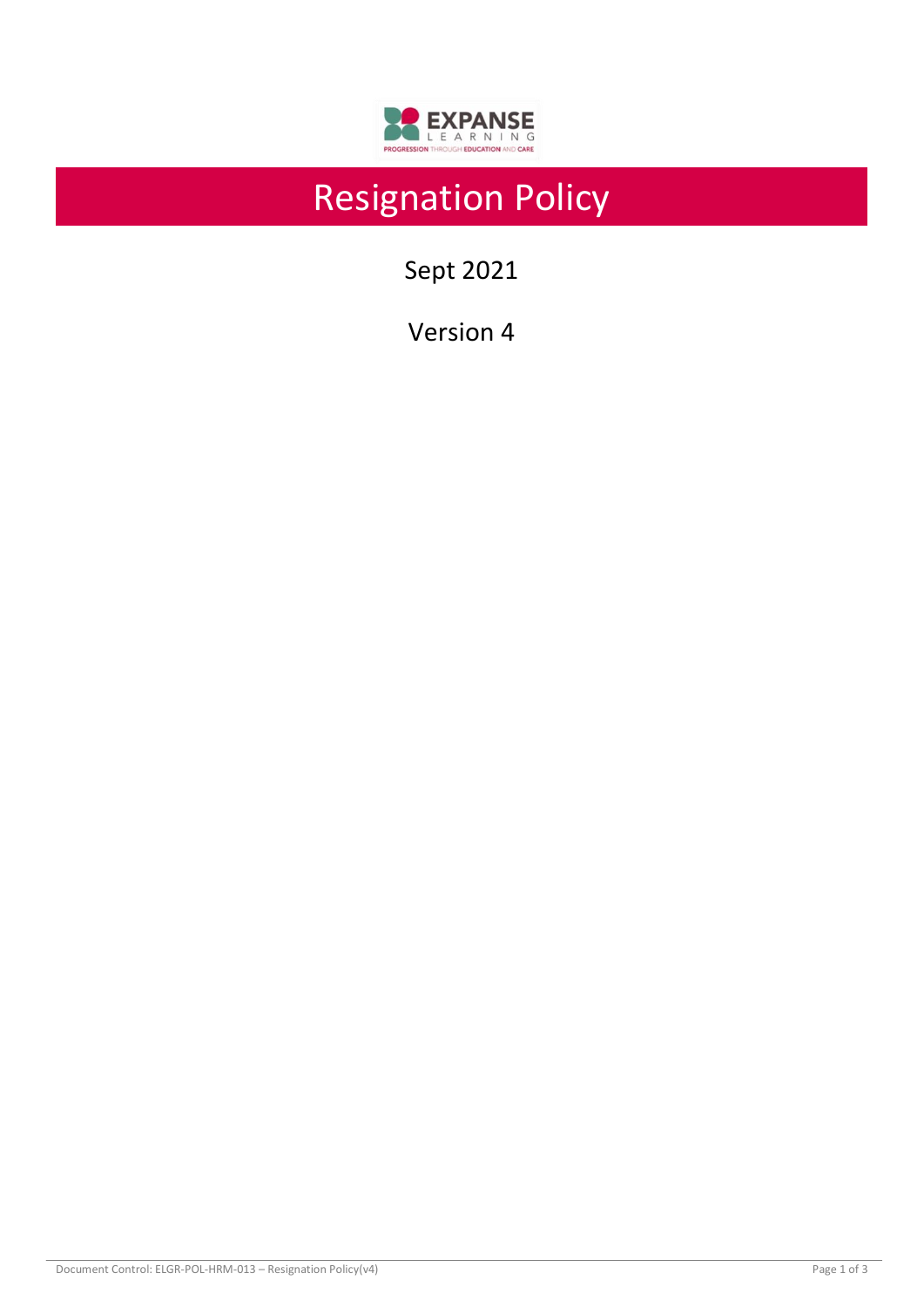

# Resignation Policy

Sept 2021

Version 4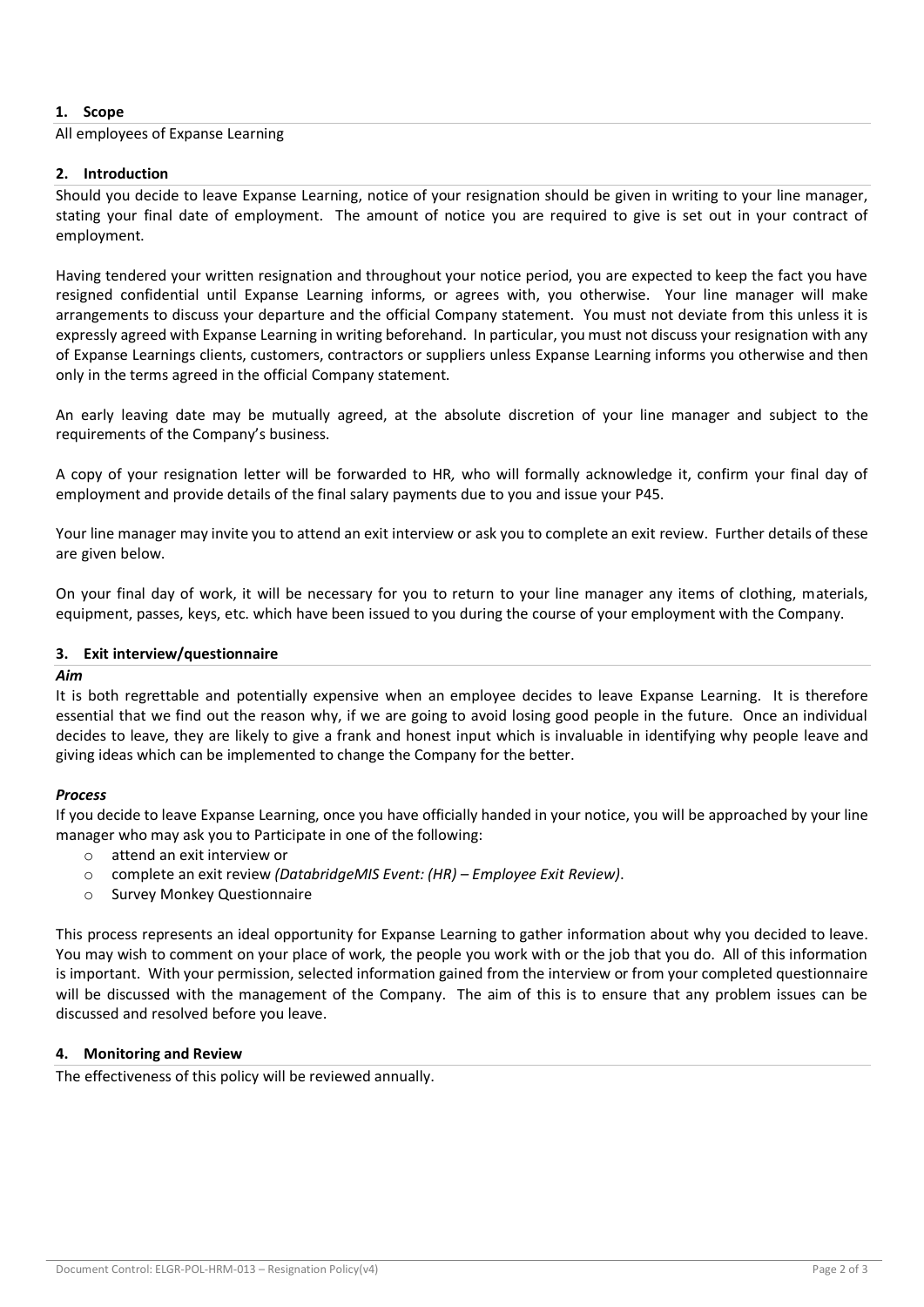## **1. Scope**

All employees of Expanse Learning

## **2. Introduction**

Should you decide to leave Expanse Learning, notice of your resignation should be given in writing to your line manager, stating your final date of employment. The amount of notice you are required to give is set out in your contract of employment.

Having tendered your written resignation and throughout your notice period, you are expected to keep the fact you have resigned confidential until Expanse Learning informs, or agrees with, you otherwise. Your line manager will make arrangements to discuss your departure and the official Company statement. You must not deviate from this unless it is expressly agreed with Expanse Learning in writing beforehand. In particular, you must not discuss your resignation with any of Expanse Learnings clients, customers, contractors or suppliers unless Expanse Learning informs you otherwise and then only in the terms agreed in the official Company statement.

An early leaving date may be mutually agreed, at the absolute discretion of your line manager and subject to the requirements of the Company's business.

A copy of your resignation letter will be forwarded to HR*,* who will formally acknowledge it, confirm your final day of employment and provide details of the final salary payments due to you and issue your P45.

Your line manager may invite you to attend an exit interview or ask you to complete an exit review. Further details of these are given below.

On your final day of work, it will be necessary for you to return to your line manager any items of clothing, materials, equipment, passes, keys, etc. which have been issued to you during the course of your employment with the Company.

## **3. Exit interview/questionnaire**

### *Aim*

It is both regrettable and potentially expensive when an employee decides to leave Expanse Learning. It is therefore essential that we find out the reason why, if we are going to avoid losing good people in the future. Once an individual decides to leave, they are likely to give a frank and honest input which is invaluable in identifying why people leave and giving ideas which can be implemented to change the Company for the better.

## *Process*

If you decide to leave Expanse Learning, once you have officially handed in your notice, you will be approached by your line manager who may ask you to Participate in one of the following:

- o attend an exit interview or
- o complete an exit review *(DatabridgeMIS Event: (HR) – Employee Exit Review)*.
- o Survey Monkey Questionnaire

This process represents an ideal opportunity for Expanse Learning to gather information about why you decided to leave. You may wish to comment on your place of work, the people you work with or the job that you do. All of this information is important. With your permission, selected information gained from the interview or from your completed questionnaire will be discussed with the management of the Company. The aim of this is to ensure that any problem issues can be discussed and resolved before you leave.

### **4. Monitoring and Review**

The effectiveness of this policy will be reviewed annually.